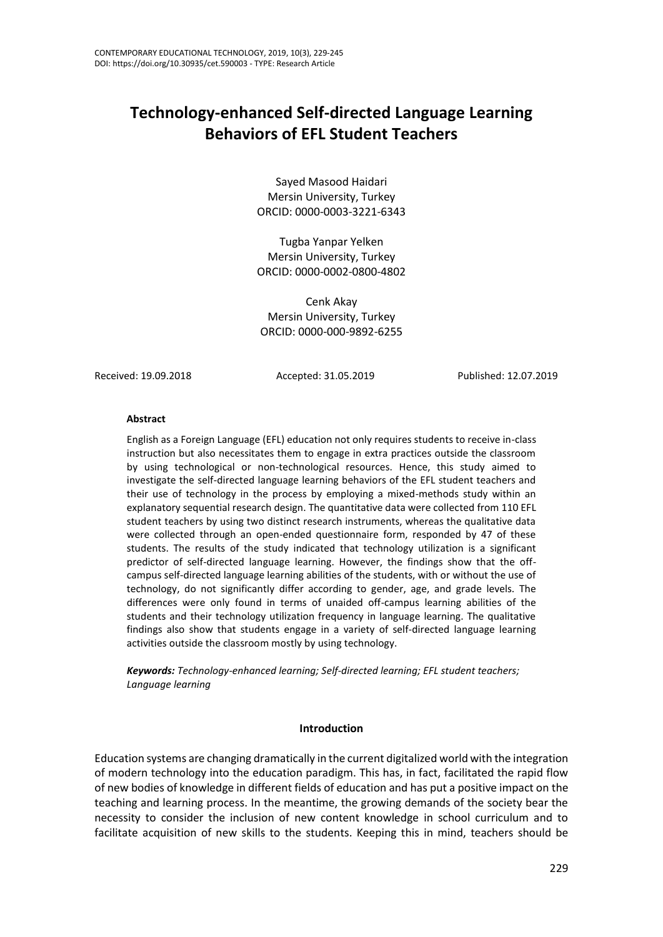# **Technology-enhanced Self-directed Language Learning Behaviors of EFL Student Teachers**

Sayed Masood Haidari Mersin University, Turkey ORCID: 0000-0003-3221-6343

Tugba Yanpar Yelken Mersin University, Turkey ORCID: 0000-0002-0800-4802

Cenk Akay Mersin University, Turkey ORCID: 0000-000-9892-6255

Received: 19.09.2018 Accepted: 31.05.2019 Published: 12.07.2019

#### **Abstract**

English as a Foreign Language (EFL) education not only requires students to receive in-class instruction but also necessitates them to engage in extra practices outside the classroom by using technological or non-technological resources. Hence, this study aimed to investigate the self-directed language learning behaviors of the EFL student teachers and their use of technology in the process by employing a mixed-methods study within an explanatory sequential research design. The quantitative data were collected from 110 EFL student teachers by using two distinct research instruments, whereas the qualitative data were collected through an open-ended questionnaire form, responded by 47 of these students. The results of the study indicated that technology utilization is a significant predictor of self-directed language learning. However, the findings show that the offcampus self-directed language learning abilities of the students, with or without the use of technology, do not significantly differ according to gender, age, and grade levels. The differences were only found in terms of unaided off-campus learning abilities of the students and their technology utilization frequency in language learning. The qualitative findings also show that students engage in a variety of self-directed language learning activities outside the classroom mostly by using technology.

*Keywords: Technology-enhanced learning; Self-directed learning; EFL student teachers; Language learning*

#### **Introduction**

Education systems are changing dramatically in the current digitalized world with the integration of modern technology into the education paradigm. This has, in fact, facilitated the rapid flow of new bodies of knowledge in different fields of education and has put a positive impact on the teaching and learning process. In the meantime, the growing demands of the society bear the necessity to consider the inclusion of new content knowledge in school curriculum and to facilitate acquisition of new skills to the students. Keeping this in mind, teachers should be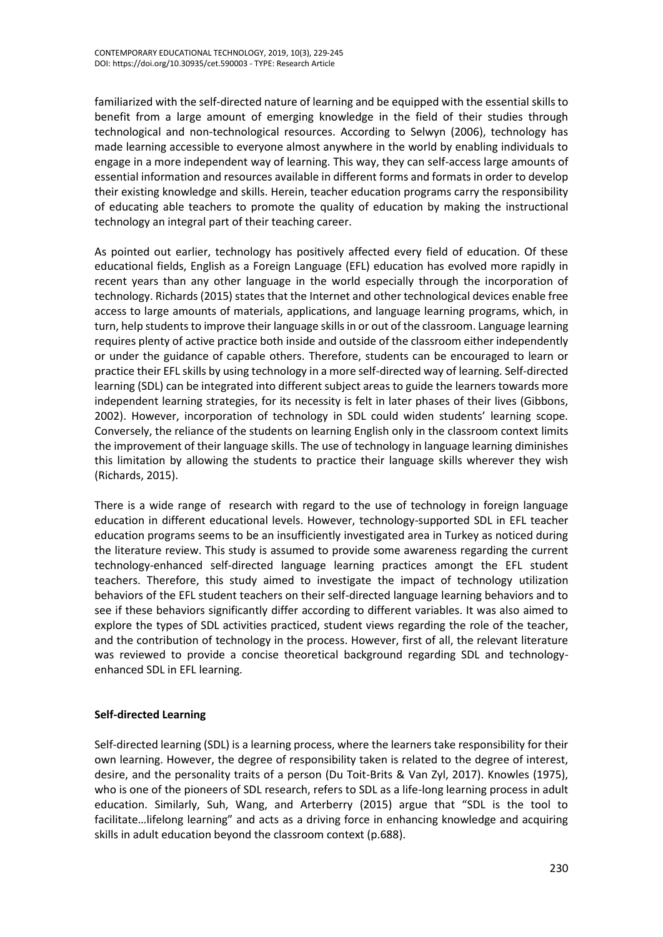familiarized with the self-directed nature of learning and be equipped with the essential skills to benefit from a large amount of emerging knowledge in the field of their studies through technological and non-technological resources. According to Selwyn (2006), technology has made learning accessible to everyone almost anywhere in the world by enabling individuals to engage in a more independent way of learning. This way, they can self-access large amounts of essential information and resources available in different forms and formats in order to develop their existing knowledge and skills. Herein, teacher education programs carry the responsibility of educating able teachers to promote the quality of education by making the instructional technology an integral part of their teaching career.

As pointed out earlier, technology has positively affected every field of education. Of these educational fields, English as a Foreign Language (EFL) education has evolved more rapidly in recent years than any other language in the world especially through the incorporation of technology. Richards (2015) states that the Internet and other technological devices enable free access to large amounts of materials, applications, and language learning programs, which, in turn, help students to improve their language skills in or out of the classroom. Language learning requires plenty of active practice both inside and outside of the classroom either independently or under the guidance of capable others. Therefore, students can be encouraged to learn or practice their EFL skills by using technology in a more self-directed way of learning. Self-directed learning (SDL) can be integrated into different subject areas to guide the learners towards more independent learning strategies, for its necessity is felt in later phases of their lives (Gibbons, 2002). However, incorporation of technology in SDL could widen students' learning scope. Conversely, the reliance of the students on learning English only in the classroom context limits the improvement of their language skills. The use of technology in language learning diminishes this limitation by allowing the students to practice their language skills wherever they wish (Richards, 2015).

There is a wide range of research with regard to the use of technology in foreign language education in different educational levels. However, technology-supported SDL in EFL teacher education programs seems to be an insufficiently investigated area in Turkey as noticed during the literature review. This study is assumed to provide some awareness regarding the current technology-enhanced self-directed language learning practices amongt the EFL student teachers. Therefore, this study aimed to investigate the impact of technology utilization behaviors of the EFL student teachers on their self-directed language learning behaviors and to see if these behaviors significantly differ according to different variables. It was also aimed to explore the types of SDL activities practiced, student views regarding the role of the teacher, and the contribution of technology in the process. However, first of all, the relevant literature was reviewed to provide a concise theoretical background regarding SDL and technologyenhanced SDL in EFL learning.

## **Self-directed Learning**

Self-directed learning (SDL) is a learning process, where the learners take responsibility for their own learning. However, the degree of responsibility taken is related to the degree of interest, desire, and the personality traits of a person (Du Toit-Brits & Van Zyl, 2017). Knowles (1975), who is one of the pioneers of SDL research, refers to SDL as a life-long learning process in adult education. Similarly, Suh, Wang, and Arterberry (2015) argue that "SDL is the tool to facilitate…lifelong learning" and acts as a driving force in enhancing knowledge and acquiring skills in adult education beyond the classroom context (p.688).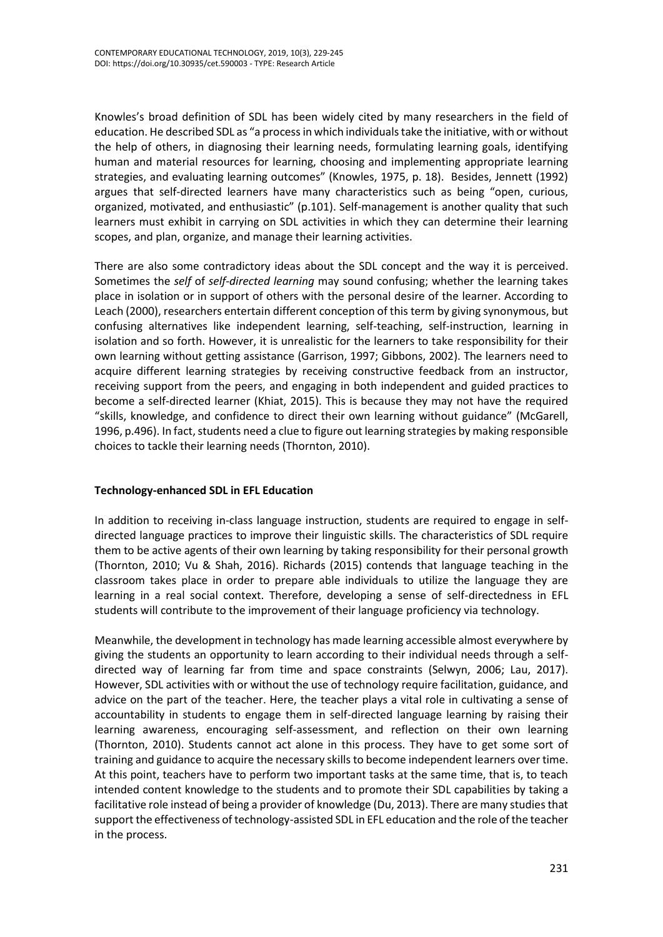Knowles's broad definition of SDL has been widely cited by many researchers in the field of education. He described SDL as "a process in which individuals take the initiative, with or without the help of others, in diagnosing their learning needs, formulating learning goals, identifying human and material resources for learning, choosing and implementing appropriate learning strategies, and evaluating learning outcomes" (Knowles, 1975, p. 18). Besides, Jennett (1992) argues that self-directed learners have many characteristics such as being "open, curious, organized, motivated, and enthusiastic" (p.101). Self-management is another quality that such learners must exhibit in carrying on SDL activities in which they can determine their learning scopes, and plan, organize, and manage their learning activities.

There are also some contradictory ideas about the SDL concept and the way it is perceived. Sometimes the *self* of *self-directed learning* may sound confusing; whether the learning takes place in isolation or in support of others with the personal desire of the learner. According to Leach (2000), researchers entertain different conception of this term by giving synonymous, but confusing alternatives like independent learning, self-teaching, self-instruction, learning in isolation and so forth. However, it is unrealistic for the learners to take responsibility for their own learning without getting assistance (Garrison, 1997; Gibbons, 2002). The learners need to acquire different learning strategies by receiving constructive feedback from an instructor, receiving support from the peers, and engaging in both independent and guided practices to become a self-directed learner (Khiat, 2015). This is because they may not have the required "skills, knowledge, and confidence to direct their own learning without guidance" (McGarell, 1996, p.496). In fact, students need a clue to figure out learning strategies by making responsible choices to tackle their learning needs (Thornton, 2010).

## **Technology-enhanced SDL in EFL Education**

In addition to receiving in-class language instruction, students are required to engage in selfdirected language practices to improve their linguistic skills. The characteristics of SDL require them to be active agents of their own learning by taking responsibility for their personal growth (Thornton, 2010; Vu & Shah, 2016). Richards (2015) contends that language teaching in the classroom takes place in order to prepare able individuals to utilize the language they are learning in a real social context. Therefore, developing a sense of self-directedness in EFL students will contribute to the improvement of their language proficiency via technology.

Meanwhile, the development in technology has made learning accessible almost everywhere by giving the students an opportunity to learn according to their individual needs through a selfdirected way of learning far from time and space constraints (Selwyn, 2006; Lau, 2017). However, SDL activities with or without the use of technology require facilitation, guidance, and advice on the part of the teacher. Here, the teacher plays a vital role in cultivating a sense of accountability in students to engage them in self-directed language learning by raising their learning awareness, encouraging self-assessment, and reflection on their own learning (Thornton, 2010). Students cannot act alone in this process. They have to get some sort of training and guidance to acquire the necessary skills to become independent learners over time. At this point, teachers have to perform two important tasks at the same time, that is, to teach intended content knowledge to the students and to promote their SDL capabilities by taking a facilitative role instead of being a provider of knowledge (Du, 2013). There are many studies that support the effectiveness of technology-assisted SDL in EFL education and the role of the teacher in the process.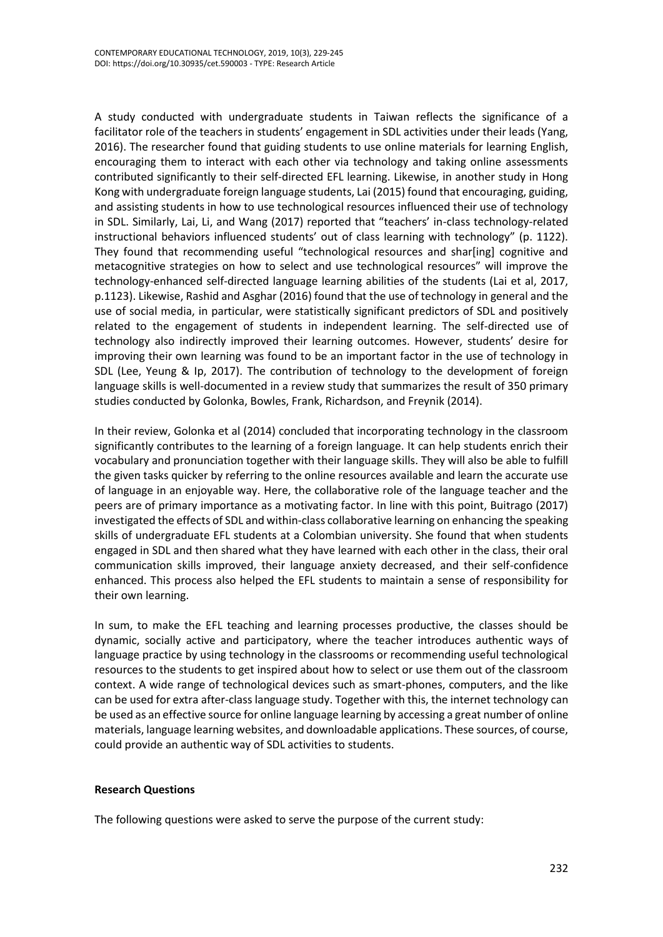A study conducted with undergraduate students in Taiwan reflects the significance of a facilitator role of the teachers in students' engagement in SDL activities under their leads (Yang, 2016). The researcher found that guiding students to use online materials for learning English, encouraging them to interact with each other via technology and taking online assessments contributed significantly to their self-directed EFL learning. Likewise, in another study in Hong Kong with undergraduate foreign language students, Lai (2015) found that encouraging, guiding, and assisting students in how to use technological resources influenced their use of technology in SDL. Similarly, Lai, Li, and Wang (2017) reported that "teachers' in-class technology-related instructional behaviors influenced students' out of class learning with technology" (p. 1122). They found that recommending useful "technological resources and shar[ing] cognitive and metacognitive strategies on how to select and use technological resources" will improve the technology-enhanced self-directed language learning abilities of the students (Lai et al, 2017, p.1123). Likewise, Rashid and Asghar (2016) found that the use of technology in general and the use of social media, in particular, were statistically significant predictors of SDL and positively related to the engagement of students in independent learning. The self-directed use of technology also indirectly improved their learning outcomes. However, students' desire for improving their own learning was found to be an important factor in the use of technology in SDL (Lee, Yeung & Ip, 2017). The contribution of technology to the development of foreign language skills is well-documented in a review study that summarizes the result of 350 primary studies conducted by Golonka, Bowles, Frank, Richardson, and Freynik (2014).

In their review, Golonka et al (2014) concluded that incorporating technology in the classroom significantly contributes to the learning of a foreign language. It can help students enrich their vocabulary and pronunciation together with their language skills. They will also be able to fulfill the given tasks quicker by referring to the online resources available and learn the accurate use of language in an enjoyable way. Here, the collaborative role of the language teacher and the peers are of primary importance as a motivating factor. In line with this point, Buitrago (2017) investigated the effects of SDL and within-class collaborative learning on enhancing the speaking skills of undergraduate EFL students at a Colombian university. She found that when students engaged in SDL and then shared what they have learned with each other in the class, their oral communication skills improved, their language anxiety decreased, and their self-confidence enhanced. This process also helped the EFL students to maintain a sense of responsibility for their own learning.

In sum, to make the EFL teaching and learning processes productive, the classes should be dynamic, socially active and participatory, where the teacher introduces authentic ways of language practice by using technology in the classrooms or recommending useful technological resources to the students to get inspired about how to select or use them out of the classroom context. A wide range of technological devices such as smart-phones, computers, and the like can be used for extra after-class language study. Together with this, the internet technology can be used as an effective source for online language learning by accessing a great number of online materials, language learning websites, and downloadable applications. These sources, of course, could provide an authentic way of SDL activities to students.

#### **Research Questions**

The following questions were asked to serve the purpose of the current study: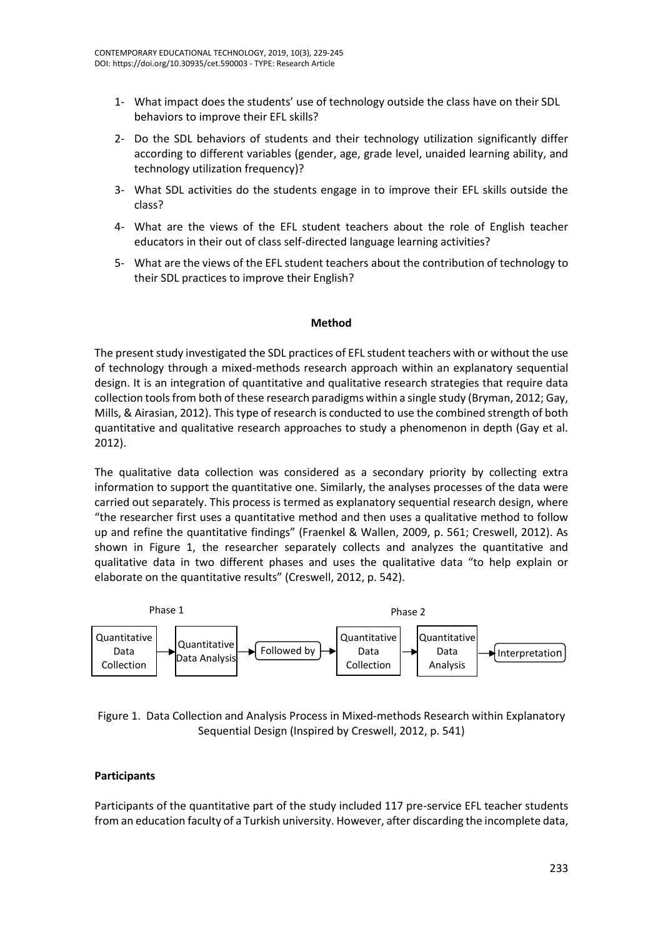- 1- What impact does the students' use of technology outside the class have on their SDL behaviors to improve their EFL skills?
- 2- Do the SDL behaviors of students and their technology utilization significantly differ according to different variables (gender, age, grade level, unaided learning ability, and technology utilization frequency)?
- 3- What SDL activities do the students engage in to improve their EFL skills outside the class?
- 4- What are the views of the EFL student teachers about the role of English teacher educators in their out of class self-directed language learning activities?
- 5- What are the views of the EFL student teachers about the contribution of technology to their SDL practices to improve their English?

#### **Method**

The present study investigated the SDL practices of EFL student teachers with or without the use of technology through a mixed-methods research approach within an explanatory sequential design. It is an integration of quantitative and qualitative research strategies that require data collection tools from both of these research paradigms within a single study (Bryman, 2012; Gay, Mills, & Airasian, 2012). This type of research is conducted to use the combined strength of both quantitative and qualitative research approaches to study a phenomenon in depth (Gay et al. 2012).

The qualitative data collection was considered as a secondary priority by collecting extra information to support the quantitative one. Similarly, the analyses processes of the data were carried out separately. This process is termed as explanatory sequential research design, where "the researcher first uses a quantitative method and then uses a qualitative method to follow up and refine the quantitative findings" (Fraenkel & Wallen, 2009, p. 561; Creswell, 2012). As shown in Figure 1, the researcher separately collects and analyzes the quantitative and qualitative data in two different phases and uses the qualitative data "to help explain or elaborate on the quantitative results" (Creswell, 2012, p. 542).



Figure 1. Data Collection and Analysis Process in Mixed-methods Research within Explanatory Sequential Design (Inspired by Creswell, 2012, p. 541)

#### **Participants**

Participants of the quantitative part of the study included 117 pre-service EFL teacher students from an education faculty of a Turkish university. However, after discarding the incomplete data,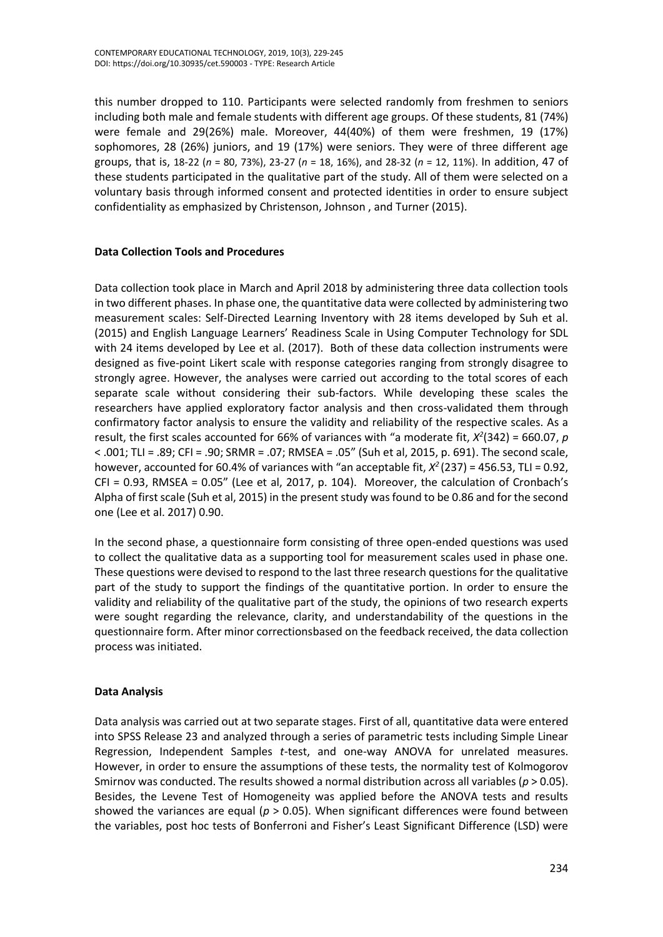this number dropped to 110. Participants were selected randomly from freshmen to seniors including both male and female students with different age groups. Of these students, 81 (74%) were female and 29(26%) male. Moreover, 44(40%) of them were freshmen, 19 (17%) sophomores, 28 (26%) juniors, and 19 (17%) were seniors. They were of three different age groups, that is, 18-22 (*n* = 80, 73%), 23-27 (*n* = 18, 16%), and 28-32 (*n* = 12, 11%). In addition, 47 of these students participated in the qualitative part of the study. All of them were selected on a voluntary basis through informed consent and protected identities in order to ensure subject confidentiality as emphasized by Christenson, Johnson , and Turner (2015).

## **Data Collection Tools and Procedures**

Data collection took place in March and April 2018 by administering three data collection tools in two different phases. In phase one, the quantitative data were collected by administering two measurement scales: Self-Directed Learning Inventory with 28 items developed by Suh et al. (2015) and English Language Learners' Readiness Scale in Using Computer Technology for SDL with 24 items developed by Lee et al. (2017). Both of these data collection instruments were designed as five-point Likert scale with response categories ranging from strongly disagree to strongly agree. However, the analyses were carried out according to the total scores of each separate scale without considering their sub-factors. While developing these scales the researchers have applied exploratory factor analysis and then cross-validated them through confirmatory factor analysis to ensure the validity and reliability of the respective scales. As a result, the first scales accounted for 66% of variances with "a moderate fit,  $X^2(342) = 660.07$ , p < .001; TLI = .89; CFI = .90; SRMR = .07; RMSEA = .05" (Suh et al, 2015, p. 691). The second scale, however, accounted for 60.4% of variances with "an acceptable fit, *X <sup>2</sup>*(237) = 456.53, TLI = 0.92, CFI = 0.93, RMSEA = 0.05" (Lee et al, 2017, p. 104). Moreover, the calculation of Cronbach's Alpha of first scale (Suh et al, 2015) in the present study was found to be 0.86 and for the second one (Lee et al. 2017) 0.90.

In the second phase, a questionnaire form consisting of three open-ended questions was used to collect the qualitative data as a supporting tool for measurement scales used in phase one. These questions were devised to respond to the last three research questions for the qualitative part of the study to support the findings of the quantitative portion. In order to ensure the validity and reliability of the qualitative part of the study, the opinions of two research experts were sought regarding the relevance, clarity, and understandability of the questions in the questionnaire form. After minor correctionsbased on the feedback received, the data collection process was initiated.

## **Data Analysis**

Data analysis was carried out at two separate stages. First of all, quantitative data were entered into SPSS Release 23 and analyzed through a series of parametric tests including Simple Linear Regression, Independent Samples *t-*test, and one-way ANOVA for unrelated measures. However, in order to ensure the assumptions of these tests, the normality test of Kolmogorov Smirnov was conducted. The results showed a normal distribution across all variables (*p* > 0.05). Besides, the Levene Test of Homogeneity was applied before the ANOVA tests and results showed the variances are equal (*p* > 0.05). When significant differences were found between the variables, post hoc tests of Bonferroni and Fisher's Least Significant Difference (LSD) were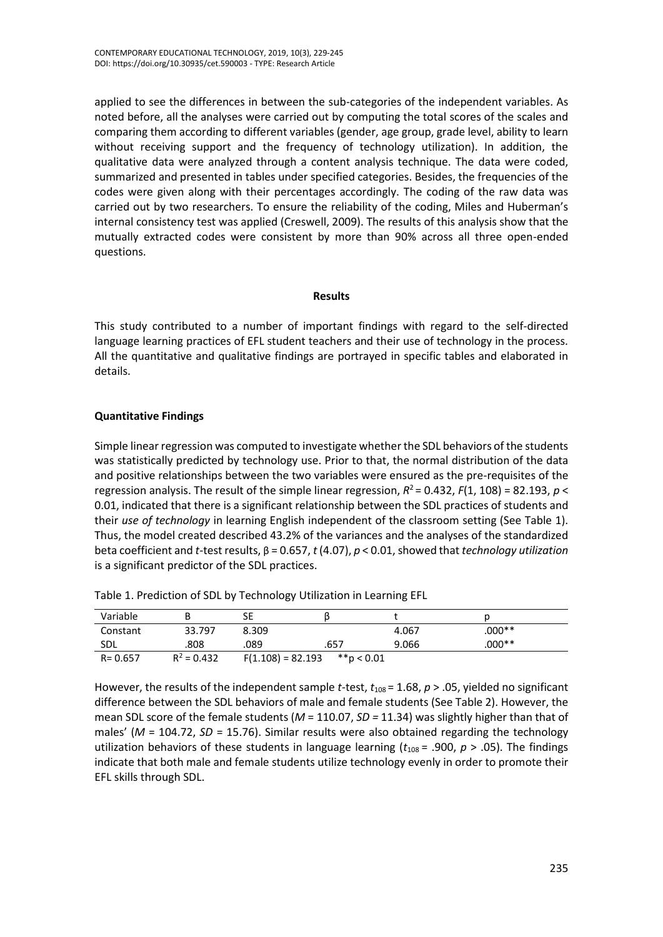applied to see the differences in between the sub-categories of the independent variables. As noted before, all the analyses were carried out by computing the total scores of the scales and comparing them according to different variables (gender, age group, grade level, ability to learn without receiving support and the frequency of technology utilization). In addition, the qualitative data were analyzed through a content analysis technique. The data were coded, summarized and presented in tables under specified categories. Besides, the frequencies of the codes were given along with their percentages accordingly. The coding of the raw data was carried out by two researchers. To ensure the reliability of the coding, Miles and Huberman's internal consistency test was applied (Creswell, 2009). The results of this analysis show that the mutually extracted codes were consistent by more than 90% across all three open-ended questions.

#### **Results**

This study contributed to a number of important findings with regard to the self-directed language learning practices of EFL student teachers and their use of technology in the process. All the quantitative and qualitative findings are portrayed in specific tables and elaborated in details.

## **Quantitative Findings**

Simple linear regression was computed to investigate whether the SDL behaviors of the students was statistically predicted by technology use. Prior to that, the normal distribution of the data and positive relationships between the two variables were ensured as the pre-requisites of the regression analysis. The result of the simple linear regression, *R* <sup>2</sup>= 0.432, *F*(1, 108) = 82.193, *p* < 0.01, indicated that there is a significant relationship between the SDL practices of students and their *use of technology* in learning English independent of the classroom setting (See Table 1). Thus, the model created described 43.2% of the variances and the analyses of the standardized beta coefficient and *t*-test results, β = 0.657, *t* (4.07), *p* < 0.01, showed that *technology utilization*  is a significant predictor of the SDL practices.

| Variable    |               | SE                  |                |       |          |
|-------------|---------------|---------------------|----------------|-------|----------|
| Constant    | 33.797        | 8.309               |                | 4.067 | $.000**$ |
| <b>SDL</b>  | 808.          | .089                | .657           | 9.066 | $.000**$ |
| $R = 0.657$ | $R^2 = 0.432$ | $F(1.108) = 82.193$ | $*$ $p < 0.01$ |       |          |

Table 1. Prediction of SDL by Technology Utilization in Learning EFL

However, the results of the independent sample *t*-test, *t*108 = 1.68, *p* > .05, yielded no significant difference between the SDL behaviors of male and female students (See Table 2). However, the mean SDL score of the female students (*M* = 110.07, *SD =* 11.34) was slightly higher than that of males' (*M* = 104.72, *SD* = 15.76). Similar results were also obtained regarding the technology utilization behaviors of these students in language learning ( $t_{108}$  = .900,  $p > .05$ ). The findings indicate that both male and female students utilize technology evenly in order to promote their EFL skills through SDL.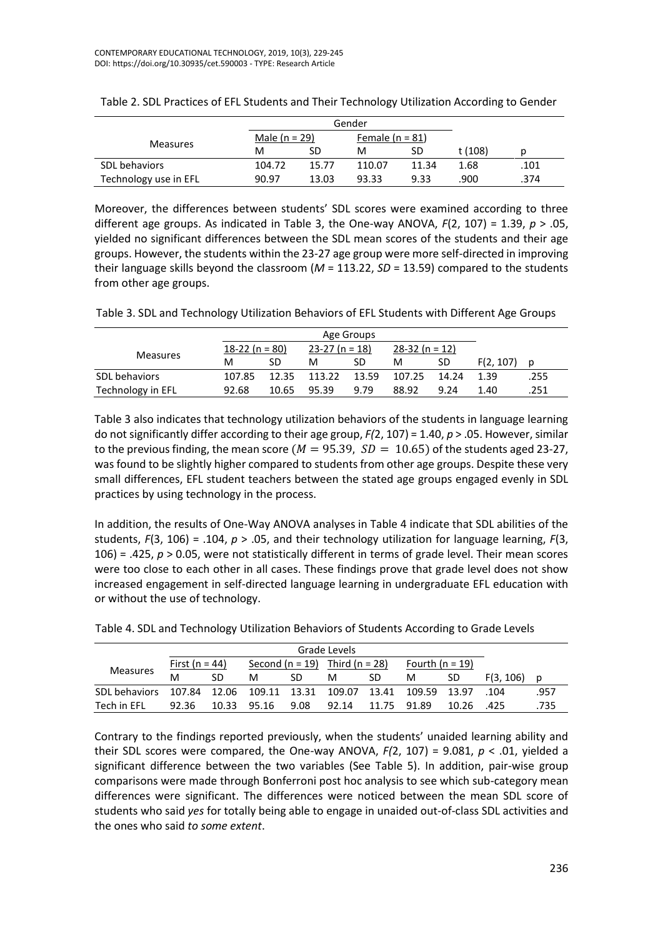|                       |        | Gender          |        |                   |         |      |
|-----------------------|--------|-----------------|--------|-------------------|---------|------|
|                       |        | Male $(n = 29)$ |        | Female $(n = 81)$ |         |      |
| <b>Measures</b>       | м      | SD              | м      | SD                | t (108) |      |
| SDL behaviors         | 104.72 | 15.77           | 110.07 | 11.34             | 1.68    | .101 |
| Technology use in EFL | 90.97  | 13.03           | 93.33  | 9.33              | 900.    | .374 |

| Table 2. SDL Practices of EFL Students and Their Technology Utilization According to Gender |  |
|---------------------------------------------------------------------------------------------|--|
|---------------------------------------------------------------------------------------------|--|

Moreover, the differences between students' SDL scores were examined according to three different age groups. As indicated in Table 3, the One-way ANOVA, *F*(2, 107) = 1.39, *p* > .05, yielded no significant differences between the SDL mean scores of the students and their age groups. However, the students within the 23-27 age group were more self-directed in improving their language skills beyond the classroom (*M* = 113.22, *SD* = 13.59) compared to the students from other age groups.

Table 3. SDL and Technology Utilization Behaviors of EFL Students with Different Age Groups

|                   | Age Groups        |       |                  |       |                  |       |           |      |
|-------------------|-------------------|-------|------------------|-------|------------------|-------|-----------|------|
|                   | 18-22 (n = $80$ ) |       | $23-27$ (n = 18) |       | $28-32 (n = 12)$ |       |           |      |
| <b>Measures</b>   | м                 | SD    | м                | SD    | М                | SD    | F(2, 107) |      |
| SDL behaviors     | 107.85            | 12.35 | 113.22           | 13.59 | 107.25           | 14.24 | 1.39      | .255 |
| Technology in EFL | 92.68             | 10.65 | 95.39            | 9.79  | 88.92            | 9.24  | 1.40      | .251 |

Table 3 also indicates that technology utilization behaviors of the students in language learning do not significantly differ according to their age group, *F(*2, 107) = 1.40, *p* > .05. However, similar to the previous finding, the mean score ( $M = 95.39$ ,  $SD = 10.65$ ) of the students aged 23-27, was found to be slightly higher compared to students from other age groups. Despite these very small differences, EFL student teachers between the stated age groups engaged evenly in SDL practices by using technology in the process.

In addition, the results of One-Way ANOVA analyses in Table 4 indicate that SDL abilities of the students, *F*(3, 106) = .104, *p* > .05, and their technology utilization for language learning, *F*(3, 106) = .425, *p* > 0.05, were not statistically different in terms of grade level. Their mean scores were too close to each other in all cases. These findings prove that grade level does not show increased engagement in self-directed language learning in undergraduate EFL education with or without the use of technology.

| Grade Levels                                                      |                       |    |                                    |      |       |             |                 |           |           |      |
|-------------------------------------------------------------------|-----------------------|----|------------------------------------|------|-------|-------------|-----------------|-----------|-----------|------|
|                                                                   | <u>First (n = 44)</u> |    | Second $(n = 19)$ Third $(n = 28)$ |      |       |             | Fourth (n = 19) |           |           |      |
| <b>Measures</b>                                                   | M                     | SD | м                                  | SD   | м     | SD          | M               | SD        | F(3, 106) | Ŋ    |
| SDL behaviors 107.84 12.06 109.11 13.31 109.07 13.41 109.59 13.97 |                       |    |                                    |      |       |             |                 |           | .104      | .957 |
| Tech in EFL                                                       | 92.36                 |    | 10.33 95.16                        | 9.08 | 92.14 | 11.75 91.89 |                 | 10.26 425 |           | .735 |

Table 4. SDL and Technology Utilization Behaviors of Students According to Grade Levels

Contrary to the findings reported previously, when the students' unaided learning ability and their SDL scores were compared, the One-way ANOVA,  $F(2, 107) = 9.081$ ,  $p < .01$ , yielded a significant difference between the two variables (See Table 5). In addition, pair-wise group comparisons were made through Bonferroni post hoc analysis to see which sub-category mean differences were significant. The differences were noticed between the mean SDL score of students who said *yes* for totally being able to engage in unaided out-of-class SDL activities and the ones who said *to some extent*.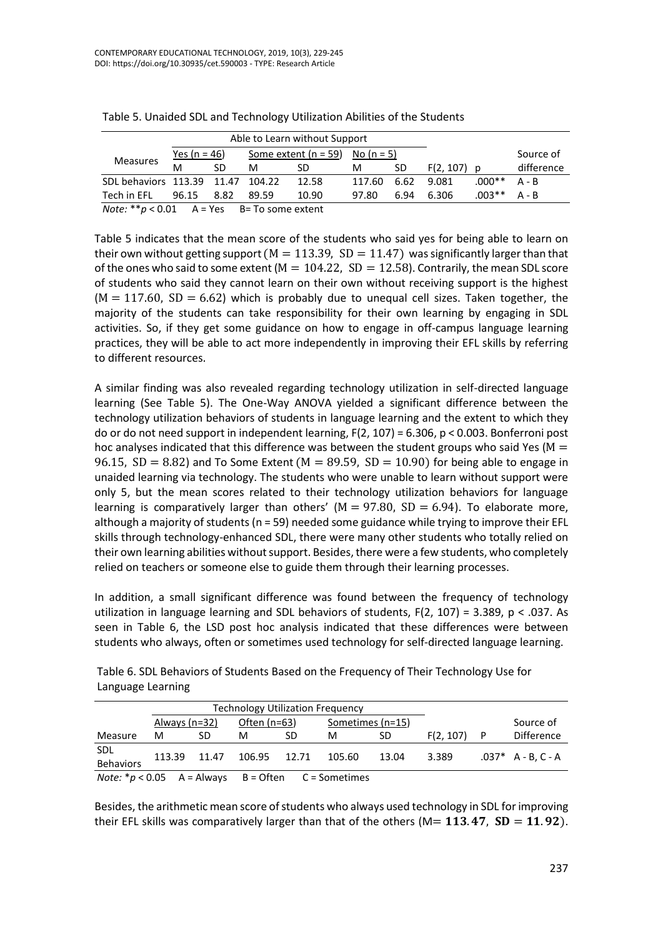| Able to Learn without Support                        |                     |      |                                     |       |        |      |               |                   |            |
|------------------------------------------------------|---------------------|------|-------------------------------------|-------|--------|------|---------------|-------------------|------------|
| <b>Measures</b>                                      | <u>Yes (n = 46)</u> |      | Some extent $(n = 59)$ No $(n = 5)$ |       |        |      |               |                   | Source of  |
|                                                      | м                   | SD.  | M                                   | SD    | м      | SD   | $F(2, 107)$ p |                   | difference |
| SDL behaviors 113.39 11.47 104.22                    |                     |      |                                     | 12.58 | 117.60 |      | 6.62 9.081    | $.000**$          | A - B      |
| Tech in EFL                                          | 96.15               | 8.82 | 89.59                               | 10.90 | 97.80  | 6.94 | 6.306         | $.003$ ** $A - B$ |            |
| <i>Note:</i> $* p < 0.01$ A = Yes B = To some extent |                     |      |                                     |       |        |      |               |                   |            |

| Table 5. Unaided SDL and Technology Utilization Abilities of the Students |  |
|---------------------------------------------------------------------------|--|
|---------------------------------------------------------------------------|--|

Table 5 indicates that the mean score of the students who said yes for being able to learn on their own without getting support ( $M = 113.39$ ,  $SD = 11.47$ ) was significantly larger than that of the ones who said to some extent ( $M = 104.22$ ,  $SD = 12.58$ ). Contrarily, the mean SDL score of students who said they cannot learn on their own without receiving support is the highest  $(M = 117.60, SD = 6.62)$  which is probably due to unequal cell sizes. Taken together, the majority of the students can take responsibility for their own learning by engaging in SDL activities. So, if they get some guidance on how to engage in off-campus language learning practices, they will be able to act more independently in improving their EFL skills by referring to different resources.

A similar finding was also revealed regarding technology utilization in self-directed language learning (See Table 5). The One-Way ANOVA yielded a significant difference between the technology utilization behaviors of students in language learning and the extent to which they do or do not need support in independent learning, F(2, 107) = 6.306, p < 0.003. Bonferroni post hoc analyses indicated that this difference was between the student groups who said Yes ( $M =$ 96.15,  $SD = 8.82$ ) and To Some Extent (M = 89.59,  $SD = 10.90$ ) for being able to engage in unaided learning via technology. The students who were unable to learn without support were only 5, but the mean scores related to their technology utilization behaviors for language learning is comparatively larger than others' ( $M = 97.80$ ,  $SD = 6.94$ ). To elaborate more, although a majority of students (n = 59) needed some guidance while trying to improve their EFL skills through technology-enhanced SDL, there were many other students who totally relied on their own learning abilities without support. Besides, there were a few students, who completely relied on teachers or someone else to guide them through their learning processes.

In addition, a small significant difference was found between the frequency of technology utilization in language learning and SDL behaviors of students,  $F(2, 107) = 3.389$ ,  $p < .037$ . As seen in Table 6, the LSD post hoc analysis indicated that these differences were between students who always, often or sometimes used technology for self-directed language learning.

|                                                | <b>Technology Utilization Frequency</b> |       |                |    |                  |       |           |   |                      |
|------------------------------------------------|-----------------------------------------|-------|----------------|----|------------------|-------|-----------|---|----------------------|
|                                                | Always (n=32)                           |       | Often $(n=63)$ |    | Sometimes (n=15) |       |           |   | Source of            |
| Measure                                        | м                                       | SD.   | м              | SD | м                | SD    | F(2, 107) | P | <b>Difference</b>    |
| SDL<br><b>Behaviors</b>                        | 113.39                                  | 11.47 | 106.95 12.71   |    | 105.60           | 13.04 | 3.389     |   | $.037* A - B, C - A$ |
| <i>Note:</i> $* p < 0.05$ A = Always B = Often |                                         |       |                |    | C = Sometimes    |       |           |   |                      |

Table 6. SDL Behaviors of Students Based on the Frequency of Their Technology Use for Language Learning

Besides, the arithmetic mean score of students who always used technology in SDL for improving their EFL skills was comparatively larger than that of the others ( $M= 113.47$ ,  $SD = 11.92$ ).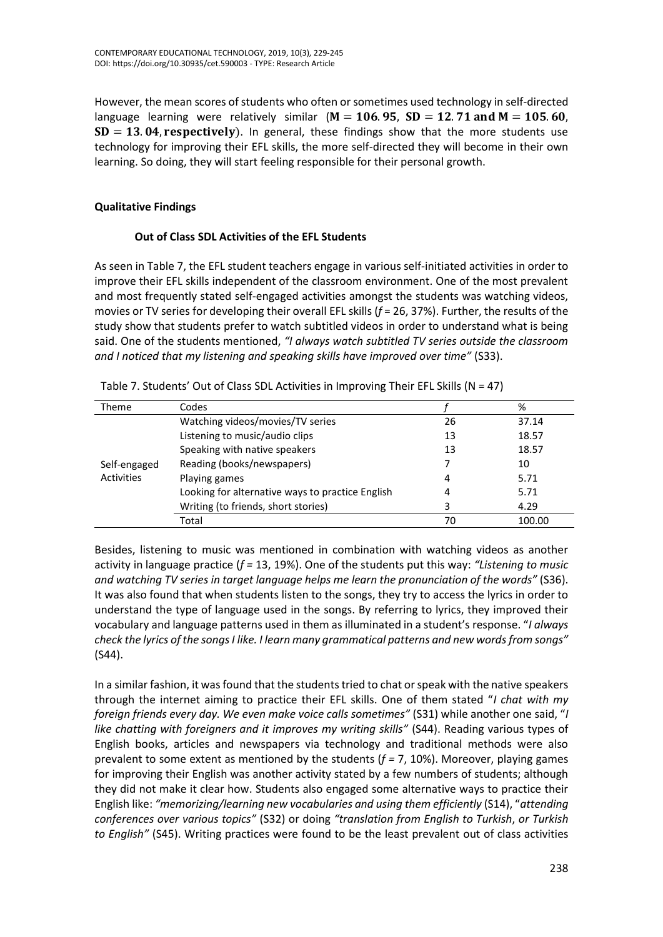However, the mean scores of students who often or sometimes used technology in self-directed language learning were relatively similar ( $M = 106.95$ ,  $SD = 12.71$  and  $M = 105.60$ .  $SD = 13.04$ , respectively). In general, these findings show that the more students use technology for improving their EFL skills, the more self-directed they will become in their own learning. So doing, they will start feeling responsible for their personal growth.

## **Qualitative Findings**

#### **Out of Class SDL Activities of the EFL Students**

As seen in Table 7, the EFL student teachers engage in various self-initiated activities in order to improve their EFL skills independent of the classroom environment. One of the most prevalent and most frequently stated self-engaged activities amongst the students was watching videos, movies or TV series for developing their overall EFL skills (*f* = 26, 37%). Further, the results of the study show that students prefer to watch subtitled videos in order to understand what is being said. One of the students mentioned, *"I always watch subtitled TV series outside the classroom and I noticed that my listening and speaking skills have improved over time"* (S33).

| Theme             | Codes                                            |    | %      |
|-------------------|--------------------------------------------------|----|--------|
|                   | Watching videos/movies/TV series                 | 26 | 37.14  |
| Self-engaged      | Listening to music/audio clips                   | 13 | 18.57  |
|                   | Speaking with native speakers                    | 13 | 18.57  |
|                   | Reading (books/newspapers)                       |    | 10     |
| <b>Activities</b> | Playing games                                    | 4  | 5.71   |
|                   | Looking for alternative ways to practice English | 4  | 5.71   |
|                   | Writing (to friends, short stories)              | 3  | 4.29   |
|                   | Total                                            | 70 | 100.00 |

Besides, listening to music was mentioned in combination with watching videos as another activity in language practice (*f =* 13, 19%). One of the students put this way: *"Listening to music and watching TV series in target language helps me learn the pronunciation of the words"* (S36). It was also found that when students listen to the songs, they try to access the lyrics in order to understand the type of language used in the songs. By referring to lyrics, they improved their vocabulary and language patterns used in them as illuminated in a student's response. "*I always check the lyrics of the songs I like. I learn many grammatical patterns and new words from songs"* (S44).

In a similar fashion, it was found that the students tried to chat or speak with the native speakers through the internet aiming to practice their EFL skills. One of them stated "*I chat with my foreign friends every day. We even make voice calls sometimes"* (S31) while another one said, "*I*  like chatting with foreigners and it improves my writing skills" (S44). Reading various types of English books, articles and newspapers via technology and traditional methods were also prevalent to some extent as mentioned by the students (*f =* 7, 10%). Moreover, playing games for improving their English was another activity stated by a few numbers of students; although they did not make it clear how. Students also engaged some alternative ways to practice their English like: *"memorizing/learning new vocabularies and using them efficiently* (S14), "*attending conferences over various topics"* (S32) or doing *"translation from English to Turkish*, *or Turkish to English"* (S45). Writing practices were found to be the least prevalent out of class activities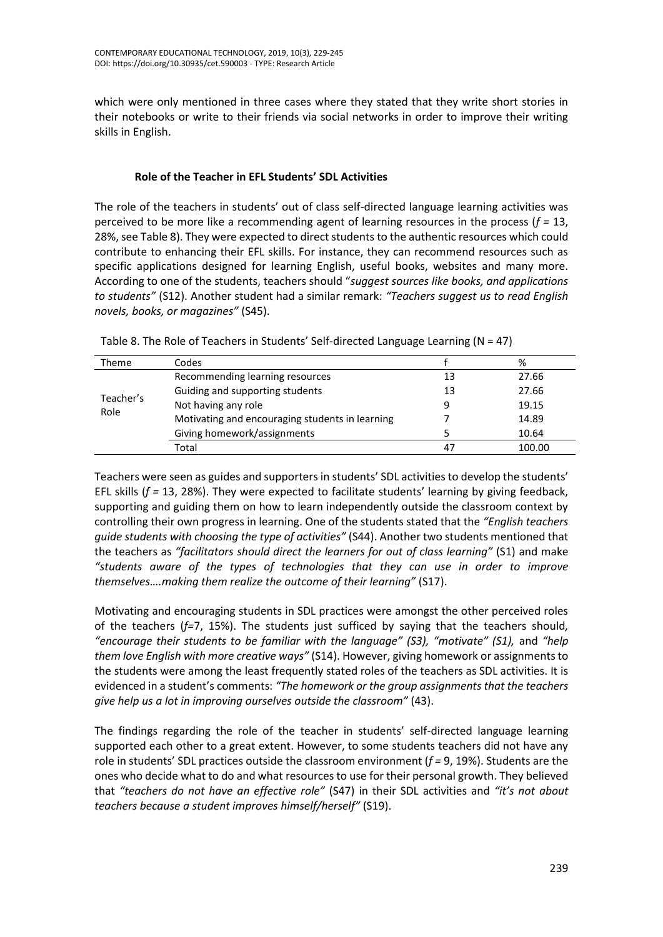which were only mentioned in three cases where they stated that they write short stories in their notebooks or write to their friends via social networks in order to improve their writing skills in English.

## **Role of the Teacher in EFL Students' SDL Activities**

The role of the teachers in students' out of class self-directed language learning activities was perceived to be more like a recommending agent of learning resources in the process (*f =* 13, 28%, see Table 8). They were expected to direct students to the authentic resources which could contribute to enhancing their EFL skills. For instance, they can recommend resources such as specific applications designed for learning English, useful books, websites and many more. According to one of the students, teachers should "*suggest sources like books, and applications to students"* (S12). Another student had a similar remark: *"Teachers suggest us to read English novels, books, or magazines"* (S45).

| Codes                                           |    | %      |
|-------------------------------------------------|----|--------|
| Recommending learning resources                 | 13 | 27.66  |
| Guiding and supporting students                 | 13 | 27.66  |
| Not having any role                             | 9  | 19.15  |
| Motivating and encouraging students in learning |    | 14.89  |
| Giving homework/assignments                     |    | 10.64  |
| Total                                           | 47 | 100.00 |
|                                                 |    |        |

Table 8. The Role of Teachers in Students' Self-directed Language Learning (N = 47)

Teachers were seen as guides and supporters in students' SDL activities to develop the students' EFL skills (*f =* 13, 28%). They were expected to facilitate students' learning by giving feedback, supporting and guiding them on how to learn independently outside the classroom context by controlling their own progress in learning. One of the students stated that the *"English teachers guide students with choosing the type of activities"* (S44). Another two students mentioned that the teachers as *"facilitators should direct the learners for out of class learning"* (S1) and make *"students aware of the types of technologies that they can use in order to improve themselves….making them realize the outcome of their learning"* (S17).

Motivating and encouraging students in SDL practices were amongst the other perceived roles of the teachers (*f=*7, 15%). The students just sufficed by saying that the teachers should*, "encourage their students to be familiar with the language" (S3), "motivate" (S1),* and *"help them love English with more creative ways"* (S14). However, giving homework or assignments to the students were among the least frequently stated roles of the teachers as SDL activities. It is evidenced in a student's comments: *"The homework or the group assignments that the teachers give help us a lot in improving ourselves outside the classroom"* (43).

The findings regarding the role of the teacher in students' self-directed language learning supported each other to a great extent. However, to some students teachers did not have any role in students' SDL practices outside the classroom environment (*f =* 9, 19%). Students are the ones who decide what to do and what resources to use for their personal growth. They believed that *"teachers do not have an effective role"* (S47) in their SDL activities and *"it's not about teachers because a student improves himself/herself"* (S19).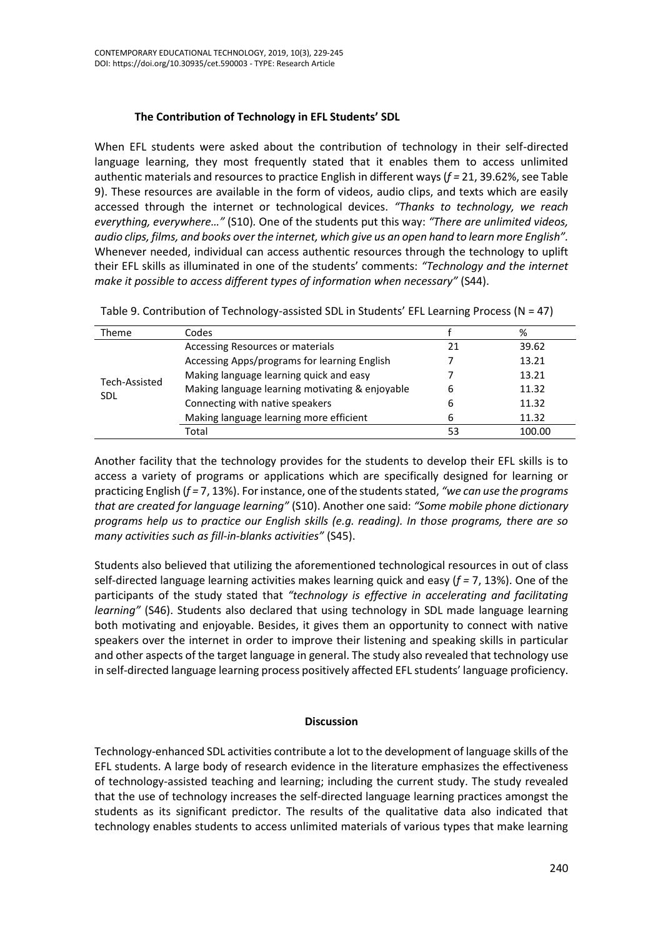## **The Contribution of Technology in EFL Students' SDL**

When EFL students were asked about the contribution of technology in their self-directed language learning, they most frequently stated that it enables them to access unlimited authentic materials and resources to practice English in different ways (*f =* 21, 39.62%, see Table 9). These resources are available in the form of videos, audio clips, and texts which are easily accessed through the internet or technological devices. *"Thanks to technology, we reach everything, everywhere…"* (S10)*.* One of the students put this way: *"There are unlimited videos, audio clips, films, and books over the internet, which give us an open hand to learn more English".*  Whenever needed, individual can access authentic resources through the technology to uplift their EFL skills as illuminated in one of the students' comments: *"Technology and the internet make it possible to access different types of information when necessary"* (S44).

| Theme         | Codes                                           |    | %      |
|---------------|-------------------------------------------------|----|--------|
| Tech-Assisted | Accessing Resources or materials                | 21 | 39.62  |
|               | Accessing Apps/programs for learning English    |    | 13.21  |
|               | Making language learning quick and easy         |    | 13.21  |
|               | Making language learning motivating & enjoyable | 6  | 11.32  |
| <b>SDL</b>    | Connecting with native speakers                 | 6  | 11.32  |
|               | Making language learning more efficient         |    | 11.32  |
|               | Total                                           | 53 | 100.00 |

Table 9. Contribution of Technology-assisted SDL in Students' EFL Learning Process (N = 47)

Another facility that the technology provides for the students to develop their EFL skills is to access a variety of programs or applications which are specifically designed for learning or practicing English (*f =* 7, 13%). For instance, one of the students stated, *"we can use the programs that are created for language learning"* (S10). Another one said: *"Some mobile phone dictionary programs help us to practice our English skills (e.g. reading). In those programs, there are so many activities such as fill-in-blanks activities"* (S45).

Students also believed that utilizing the aforementioned technological resources in out of class self-directed language learning activities makes learning quick and easy (*f =* 7, 13%). One of the participants of the study stated that *"technology is effective in accelerating and facilitating learning"* (S46). Students also declared that using technology in SDL made language learning both motivating and enjoyable. Besides, it gives them an opportunity to connect with native speakers over the internet in order to improve their listening and speaking skills in particular and other aspects of the target language in general. The study also revealed that technology use in self-directed language learning process positively affected EFL students' language proficiency.

## **Discussion**

Technology-enhanced SDL activities contribute a lot to the development of language skills of the EFL students. A large body of research evidence in the literature emphasizes the effectiveness of technology-assisted teaching and learning; including the current study. The study revealed that the use of technology increases the self-directed language learning practices amongst the students as its significant predictor. The results of the qualitative data also indicated that technology enables students to access unlimited materials of various types that make learning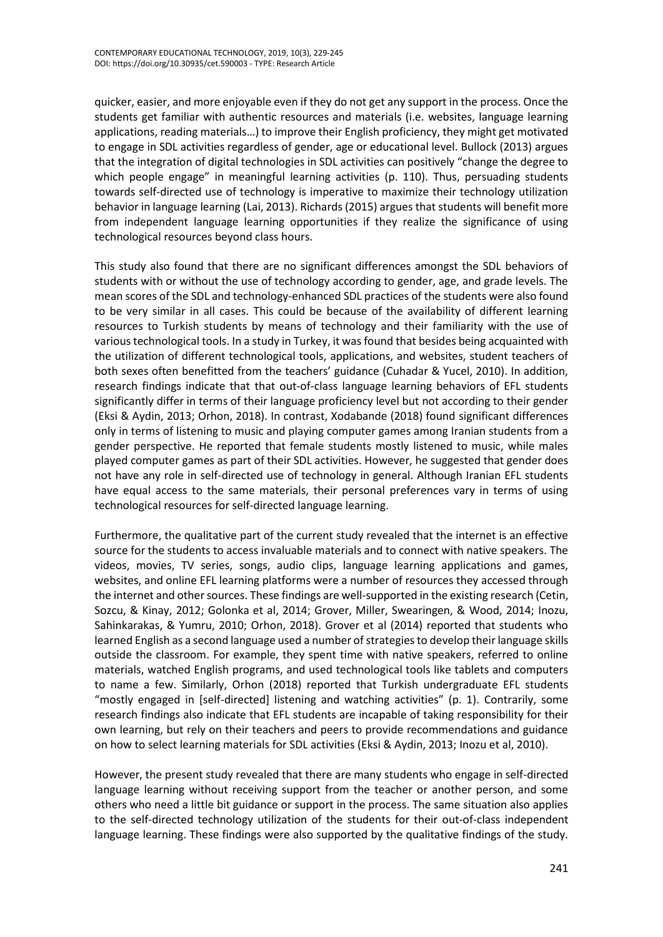quicker, easier, and more enjoyable even if they do not get any support in the process. Once the students get familiar with authentic resources and materials (i.e. websites, language learning applications, reading materials…) to improve their English proficiency, they might get motivated to engage in SDL activities regardless of gender, age or educational level. Bullock (2013) argues that the integration of digital technologies in SDL activities can positively "change the degree to which people engage" in meaningful learning activities (p. 110). Thus, persuading students towards self-directed use of technology is imperative to maximize their technology utilization behavior in language learning (Lai, 2013). Richards (2015) argues that students will benefit more from independent language learning opportunities if they realize the significance of using technological resources beyond class hours.

This study also found that there are no significant differences amongst the SDL behaviors of students with or without the use of technology according to gender, age, and grade levels. The mean scores of the SDL and technology-enhanced SDL practices of the students were also found to be very similar in all cases. This could be because of the availability of different learning resources to Turkish students by means of technology and their familiarity with the use of various technological tools. In a study in Turkey, it was found that besides being acquainted with the utilization of different technological tools, applications, and websites, student teachers of both sexes often benefitted from the teachers' guidance (Cuhadar & Yucel, 2010). In addition, research findings indicate that that out-of-class language learning behaviors of EFL students significantly differ in terms of their language proficiency level but not according to their gender (Eksi & Aydin, 2013; Orhon, 2018). In contrast, Xodabande (2018) found significant differences only in terms of listening to music and playing computer games among Iranian students from a gender perspective. He reported that female students mostly listened to music, while males played computer games as part of their SDL activities. However, he suggested that gender does not have any role in self-directed use of technology in general. Although Iranian EFL students have equal access to the same materials, their personal preferences vary in terms of using technological resources for self-directed language learning.

Furthermore, the qualitative part of the current study revealed that the internet is an effective source for the students to access invaluable materials and to connect with native speakers. The videos, movies, TV series, songs, audio clips, language learning applications and games, websites, and online EFL learning platforms were a number of resources they accessed through the internet and other sources. These findings are well-supported in the existing research (Cetin, Sozcu, & Kinay, 2012; Golonka et al, 2014; Grover, Miller, Swearingen, & Wood, 2014; Inozu, Sahinkarakas, & Yumru, 2010; Orhon, 2018). Grover et al (2014) reported that students who learned English as a second language used a number of strategies to develop their language skills outside the classroom. For example, they spent time with native speakers, referred to online materials, watched English programs, and used technological tools like tablets and computers to name a few. Similarly, Orhon (2018) reported that Turkish undergraduate EFL students "mostly engaged in [self-directed] listening and watching activities" (p. 1). Contrarily, some research findings also indicate that EFL students are incapable of taking responsibility for their own learning, but rely on their teachers and peers to provide recommendations and guidance on how to select learning materials for SDL activities (Eksi & Aydin, 2013; Inozu et al, 2010).

However, the present study revealed that there are many students who engage in self-directed language learning without receiving support from the teacher or another person, and some others who need a little bit guidance or support in the process. The same situation also applies to the self-directed technology utilization of the students for their out-of-class independent language learning. These findings were also supported by the qualitative findings of the study.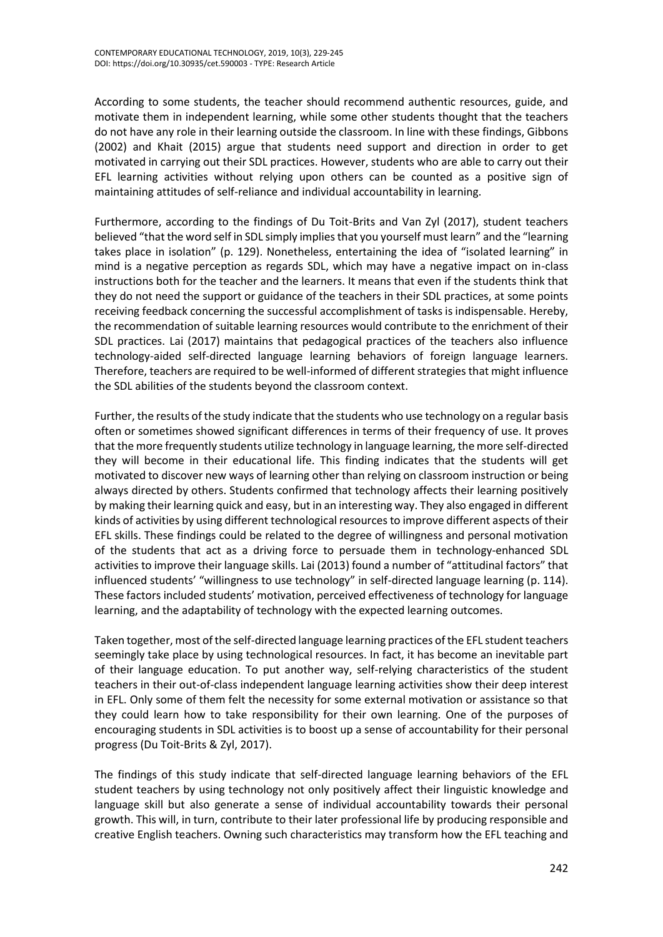According to some students, the teacher should recommend authentic resources, guide, and motivate them in independent learning, while some other students thought that the teachers do not have any role in their learning outside the classroom. In line with these findings, Gibbons (2002) and Khait (2015) argue that students need support and direction in order to get motivated in carrying out their SDL practices. However, students who are able to carry out their EFL learning activities without relying upon others can be counted as a positive sign of maintaining attitudes of self-reliance and individual accountability in learning.

Furthermore, according to the findings of Du Toit-Brits and Van Zyl (2017), student teachers believed "that the word self in SDL simply implies that you yourself must learn" and the "learning takes place in isolation" (p. 129). Nonetheless, entertaining the idea of "isolated learning" in mind is a negative perception as regards SDL, which may have a negative impact on in-class instructions both for the teacher and the learners. It means that even if the students think that they do not need the support or guidance of the teachers in their SDL practices, at some points receiving feedback concerning the successful accomplishment of tasks is indispensable. Hereby, the recommendation of suitable learning resources would contribute to the enrichment of their SDL practices. Lai (2017) maintains that pedagogical practices of the teachers also influence technology-aided self-directed language learning behaviors of foreign language learners. Therefore, teachers are required to be well-informed of different strategies that might influence the SDL abilities of the students beyond the classroom context.

Further, the results of the study indicate that the students who use technology on a regular basis often or sometimes showed significant differences in terms of their frequency of use. It proves that the more frequently students utilize technology in language learning, the more self-directed they will become in their educational life. This finding indicates that the students will get motivated to discover new ways of learning other than relying on classroom instruction or being always directed by others. Students confirmed that technology affects their learning positively by making their learning quick and easy, but in an interesting way. They also engaged in different kinds of activities by using different technological resources to improve different aspects of their EFL skills. These findings could be related to the degree of willingness and personal motivation of the students that act as a driving force to persuade them in technology-enhanced SDL activities to improve their language skills. Lai (2013) found a number of "attitudinal factors" that influenced students' "willingness to use technology" in self-directed language learning (p. 114). These factors included students' motivation, perceived effectiveness of technology for language learning, and the adaptability of technology with the expected learning outcomes.

Taken together, most of the self-directed language learning practices of the EFL student teachers seemingly take place by using technological resources. In fact, it has become an inevitable part of their language education. To put another way, self-relying characteristics of the student teachers in their out-of-class independent language learning activities show their deep interest in EFL. Only some of them felt the necessity for some external motivation or assistance so that they could learn how to take responsibility for their own learning. One of the purposes of encouraging students in SDL activities is to boost up a sense of accountability for their personal progress (Du Toit-Brits & Zyl, 2017).

The findings of this study indicate that self-directed language learning behaviors of the EFL student teachers by using technology not only positively affect their linguistic knowledge and language skill but also generate a sense of individual accountability towards their personal growth. This will, in turn, contribute to their later professional life by producing responsible and creative English teachers. Owning such characteristics may transform how the EFL teaching and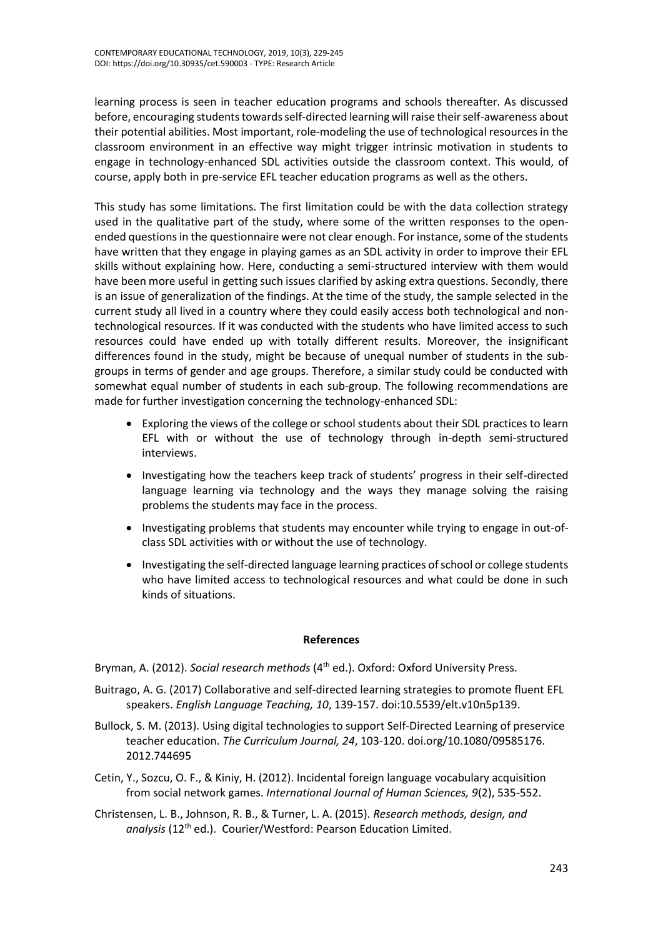learning process is seen in teacher education programs and schools thereafter. As discussed before, encouraging students towards self-directed learning will raise their self-awareness about their potential abilities. Most important, role-modeling the use of technological resources in the classroom environment in an effective way might trigger intrinsic motivation in students to engage in technology-enhanced SDL activities outside the classroom context. This would, of course, apply both in pre-service EFL teacher education programs as well as the others.

This study has some limitations. The first limitation could be with the data collection strategy used in the qualitative part of the study, where some of the written responses to the openended questions in the questionnaire were not clear enough. For instance, some of the students have written that they engage in playing games as an SDL activity in order to improve their EFL skills without explaining how. Here, conducting a semi-structured interview with them would have been more useful in getting such issues clarified by asking extra questions. Secondly, there is an issue of generalization of the findings. At the time of the study, the sample selected in the current study all lived in a country where they could easily access both technological and nontechnological resources. If it was conducted with the students who have limited access to such resources could have ended up with totally different results. Moreover, the insignificant differences found in the study, might be because of unequal number of students in the subgroups in terms of gender and age groups. Therefore, a similar study could be conducted with somewhat equal number of students in each sub-group. The following recommendations are made for further investigation concerning the technology-enhanced SDL:

- Exploring the views of the college or school students about their SDL practices to learn EFL with or without the use of technology through in-depth semi-structured interviews.
- Investigating how the teachers keep track of students' progress in their self-directed language learning via technology and the ways they manage solving the raising problems the students may face in the process.
- Investigating problems that students may encounter while trying to engage in out-ofclass SDL activities with or without the use of technology.
- Investigating the self-directed language learning practices of school or college students who have limited access to technological resources and what could be done in such kinds of situations.

#### **References**

Bryman, A. (2012). *Social research methods* (4<sup>th</sup> ed.). Oxford: Oxford University Press.

- Buitrago, A. G. (2017) Collaborative and self-directed learning strategies to promote fluent EFL speakers. *English Language Teaching, 10*, 139-157. [doi:10.5539/elt.v10n5p139.](http://doi.org/10.5539/elt.v10n5p139)
- Bullock, S. M. (2013). Using digital technologies to support Self-Directed Learning of preservice teacher education. *The Curriculum Journal, 24*, 103-120. doi.org/10.1080/09585176. 2012.744695
- Cetin, Y., Sozcu, O. F., & Kiniy, H. (2012). Incidental foreign language vocabulary acquisition from social network games. *International Journal of Human Sciences, 9*(2), 535-552.
- Christensen, L. B., Johnson, R. B., & Turner, L. A. (2015). *Research methods, design, and*  analysis (12<sup>th</sup> ed.). Courier/Westford: Pearson Education Limited.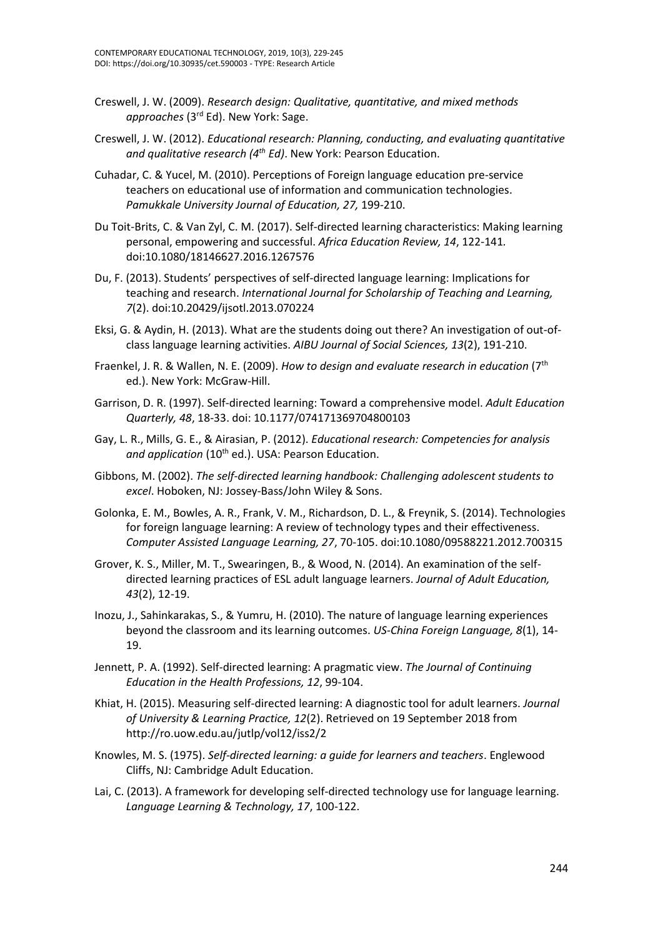- Creswell, J. W. (2009). *Research design: Qualitative, quantitative, and mixed methods approaches* (3rd Ed). New York: Sage.
- Creswell, J. W. (2012). *Educational research: Planning, conducting, and evaluating quantitative and qualitative research (4th Ed)*. New York: Pearson Education.
- Cuhadar, C. & Yucel, M. (2010). Perceptions of Foreign language education pre-service teachers on educational use of information and communication technologies. *Pamukkale University Journal of Education, 27,* 199-210.
- Du Toit-Brits, C. & Van Zyl, C. M. (2017). Self-directed learning characteristics: Making learning personal, empowering and successful. *Africa Education Review, 14*, 122-141*.*  [doi:10.1080/18146627.2016.1267576](https://doi.org/10.1080/18146627.2016.1267576)
- Du, F. (2013). Students' perspectives of self-directed language learning: Implications for teaching and research. *International Journal for Scholarship of Teaching and Learning, 7*(2)[. doi:10.20429/ijsotl.2013.070224](https://doi.org/10.20429/ijsotl.2013.070224)
- Eksi, G. & Aydin, H. (2013). What are the students doing out there? An investigation of out-ofclass language learning activities. *AIBU Journal of Social Sciences, 13*(2), 191-210.
- Fraenkel, J. R. & Wallen, N. E. (2009). *How to design and evaluate research in education* (7th ed.). New York: McGraw-Hill.
- Garrison, D. R. (1997). Self-directed learning: Toward a comprehensive model. *Adult Education Quarterly, 48*, 18-33. doi: 10.1177/074171369704800103
- Gay, L. R., Mills, G. E., & Airasian, P. (2012). *Educational research: Competencies for analysis*  and application (10<sup>th</sup> ed.). USA: Pearson Education.
- Gibbons, M. (2002). *The self-directed learning handbook: Challenging adolescent students to excel*. Hoboken, NJ: Jossey-Bass/John Wiley & Sons.
- Golonka, E. M., Bowles, A. R., Frank, V. M., Richardson, D. L., & Freynik, S. (2014). Technologies for foreign language learning: A review of technology types and their effectiveness. *Computer Assisted Language Learning, 27*, 70-105. doi:10.1080/09588221.2012.700315
- Grover, K. S., Miller, M. T., Swearingen, B., & Wood, N. (2014). An examination of the selfdirected learning practices of ESL adult language learners. *Journal of Adult Education, 43*(2), 12-19.
- Inozu, J., Sahinkarakas, S., & Yumru, H. (2010). The nature of language learning experiences beyond the classroom and its learning outcomes. *US-China Foreign Language, 8*(1), 14- 19.
- Jennett, P. A. (1992). Self-directed learning: A pragmatic view. *The Journal of Continuing Education in the Health Professions, 12*, 99-104.
- Khiat, H. (2015). Measuring self-directed learning: A diagnostic tool for adult learners. *Journal of University & Learning Practice, 12*(2). Retrieved on 19 September 2018 from <http://ro.uow.edu.au/jutlp/vol12/iss2/2>
- Knowles, M. S. (1975). *Self-directed learning: a guide for learners and teachers*. Englewood Cliffs, NJ: Cambridge Adult Education.
- Lai, C. (2013). A framework for developing self-directed technology use for language learning. *Language Learning & Technology, 17*, 100-122.